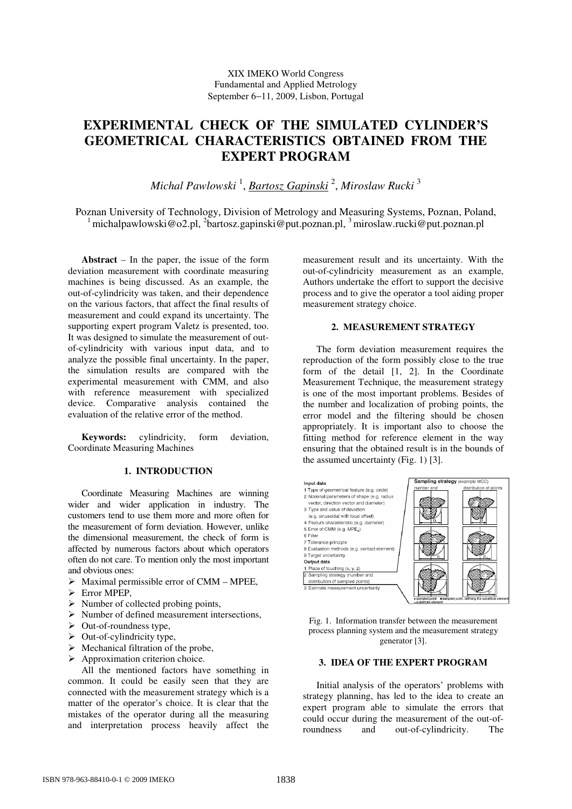# **EXPERIMENTAL CHECK OF THE SIMULATED CYLINDER'S GEOMETRICAL CHARACTERISTICS OBTAINED FROM THE EXPERT PROGRAM**

*Michal Pawlowski* <sup>1</sup> , *Bartosz Gapinski* <sup>2</sup> , *Miroslaw Rucki* <sup>3</sup>

Poznan University of Technology, Division of Metrology and Measuring Systems, Poznan, Poland,  $1$ michalpawlowski@o2.pl,  $2$ bartosz.gapinski@put.poznan.pl,  $3$ miroslaw.rucki@put.poznan.pl

**Abstract** – In the paper, the issue of the form deviation measurement with coordinate measuring machines is being discussed. As an example, the out-of-cylindricity was taken, and their dependence on the various factors, that affect the final results of measurement and could expand its uncertainty. The supporting expert program Valetz is presented, too. It was designed to simulate the measurement of outof-cylindricity with various input data, and to analyze the possible final uncertainty. In the paper, the simulation results are compared with the experimental measurement with CMM, and also with reference measurement with specialized device. Comparative analysis contained the evaluation of the relative error of the method.

**Keywords:** cylindricity, form deviation, Coordinate Measuring Machines

# **1. INTRODUCTION**

Coordinate Measuring Machines are winning wider and wider application in industry. The customers tend to use them more and more often for the measurement of form deviation. However, unlike the dimensional measurement, the check of form is affected by numerous factors about which operators often do not care. To mention only the most important and obvious ones:

- $\triangleright$  Maximal permissible error of CMM MPEE,
- Error MPEP.
- $\triangleright$  Number of collected probing points,
- $\triangleright$  Number of defined measurement intersections,
- $\triangleright$  Out-of-roundness type,
- $\triangleright$  Out-of-cylindricity type,
- $\triangleright$  Mechanical filtration of the probe,
- $\triangleright$  Approximation criterion choice.

All the mentioned factors have something in common. It could be easily seen that they are connected with the measurement strategy which is a matter of the operator's choice. It is clear that the mistakes of the operator during all the measuring and interpretation process heavily affect the

measurement result and its uncertainty. With the out-of-cylindricity measurement as an example, Authors undertake the effort to support the decisive process and to give the operator a tool aiding proper measurement strategy choice.

#### **2. MEASUREMENT STRATEGY**

The form deviation measurement requires the reproduction of the form possibly close to the true form of the detail [1, 2]. In the Coordinate Measurement Technique, the measurement strategy is one of the most important problems. Besides of the number and localization of probing points, the error model and the filtering should be chosen appropriately. It is important also to choose the fitting method for reference element in the way ensuring that the obtained result is in the bounds of the assumed uncertainty (Fig. 1) [3].



Fig. 1. Information transfer between the measurement process planning system and the measurement strategy generator [3].

# **3. IDEA OF THE EXPERT PROGRAM**

Initial analysis of the operators' problems with strategy planning, has led to the idea to create an expert program able to simulate the errors that could occur during the measurement of the out-ofroundness and out-of-cylindricity. The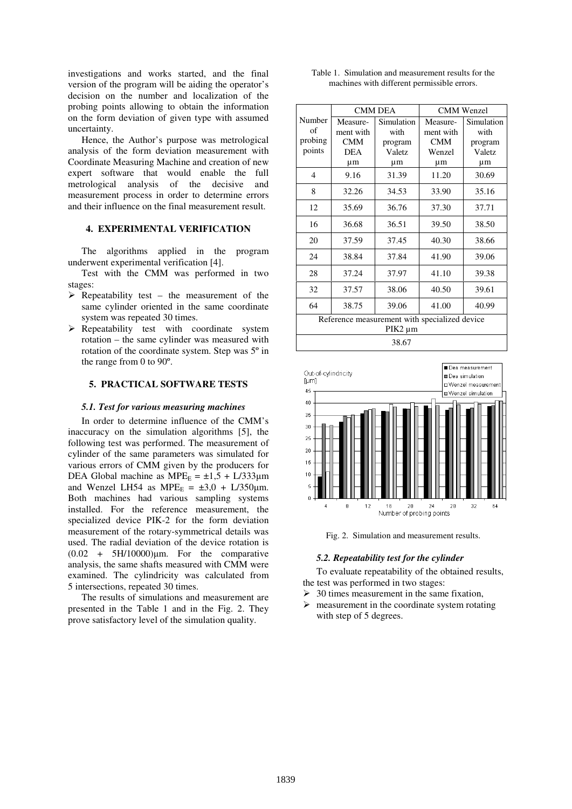investigations and works started, and the final version of the program will be aiding the operator's decision on the number and localization of the probing points allowing to obtain the information on the form deviation of given type with assumed uncertainty.

Hence, the Author's purpose was metrological analysis of the form deviation measurement with Coordinate Measuring Machine and creation of new expert software that would enable the full metrological analysis of the decisive and measurement process in order to determine errors and their influence on the final measurement result.

#### **4. EXPERIMENTAL VERIFICATION**

The algorithms applied in the program underwent experimental verification [4].

Test with the CMM was performed in two stages:

- $\triangleright$  Repeatability test the measurement of the same cylinder oriented in the same coordinate system was repeated 30 times.
- $\triangleright$  Repeatability test with coordinate system rotation – the same cylinder was measured with rotation of the coordinate system. Step was 5º in the range from 0 to 90º.

# **5. PRACTICAL SOFTWARE TESTS**

# *5.1. Test for various measuring machines*

In order to determine influence of the CMM's inaccuracy on the simulation algorithms [5], the following test was performed. The measurement of cylinder of the same parameters was simulated for various errors of CMM given by the producers for DEA Global machine as  $MPE<sub>E</sub> = \pm 1.5 + L/333 \mu m$ and Wenzel LH54 as MPE<sub>E</sub> =  $\pm 3.0$  + L/350 $\mu$ m. Both machines had various sampling systems installed. For the reference measurement, the specialized device PIK-2 for the form deviation measurement of the rotary-symmetrical details was used. The radial deviation of the device rotation is  $(0.02 + 5H/10000)$ µm. For the comparative analysis, the same shafts measured with CMM were examined. The cylindricity was calculated from 5 intersections, repeated 30 times.

The results of simulations and measurement are presented in the Table 1 and in the Fig. 2. They prove satisfactory level of the simulation quality.

|                                             |  | Table 1. Simulation and measurement results for the |  |
|---------------------------------------------|--|-----------------------------------------------------|--|
| machines with different permissible errors. |  |                                                     |  |

|                                                          | <b>CMM DEA</b> |            | <b>CMM</b> Wenzel |            |  |  |  |
|----------------------------------------------------------|----------------|------------|-------------------|------------|--|--|--|
| Number                                                   | Measure-       | Simulation | Measure-          | Simulation |  |  |  |
| of                                                       | ment with      | with       | ment with         | with       |  |  |  |
| probing                                                  | <b>CMM</b>     | program    | <b>CMM</b>        | program    |  |  |  |
| points                                                   | <b>DEA</b>     | Valetz     | Wenzel            | Valetz     |  |  |  |
|                                                          | μm             | μm         | $\mu$ m           | μm         |  |  |  |
| $\overline{4}$                                           | 9.16           | 31.39      | 11.20             | 30.69      |  |  |  |
| 8                                                        | 32.26          | 34.53      | 33.90             | 35.16      |  |  |  |
| 12                                                       | 35.69          | 36.76      | 37.30             | 37.71      |  |  |  |
| 16                                                       | 36.68          | 36.51      | 39.50             | 38.50      |  |  |  |
| 20                                                       | 37.59          | 37.45      | 40.30             | 38.66      |  |  |  |
| 24                                                       | 38.84          | 37.84      | 41.90             | 39.06      |  |  |  |
| 28                                                       | 37.24          | 37.97      | 41.10             | 39.38      |  |  |  |
| 32                                                       | 37.57          | 38.06      | 40.50             | 39.61      |  |  |  |
| 64                                                       | 38.75          | 39.06      | 41.00             | 40.99      |  |  |  |
| Reference measurement with specialized device<br>PIK2 µm |                |            |                   |            |  |  |  |
| 38.67                                                    |                |            |                   |            |  |  |  |



Fig. 2. Simulation and measurement results.

#### *5.2. Repeatability test for the cylinder*

To evaluate repeatability of the obtained results, the test was performed in two stages:

- $\geq$  30 times measurement in the same fixation,
- $\triangleright$  measurement in the coordinate system rotating with step of 5 degrees.